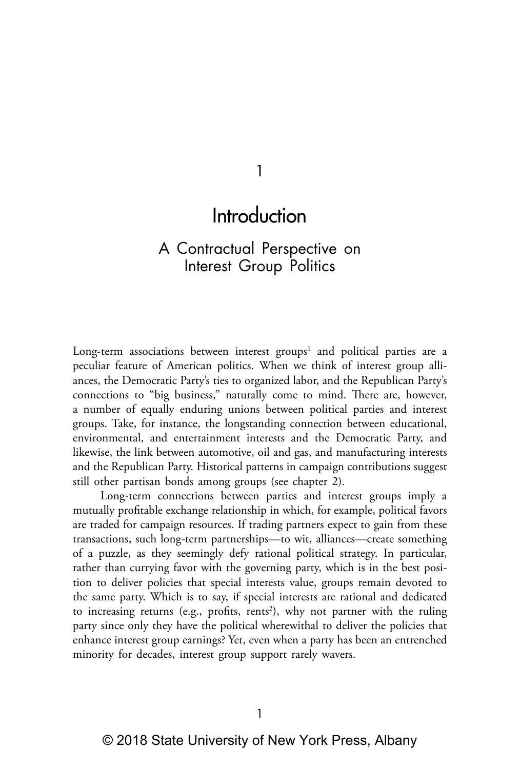1

# Introduction

## A Contractual Perspective on Interest Group Politics

Long-term associations between interest groups<sup>1</sup> and political parties are a peculiar feature of American politics. When we think of interest group alliances, the Democratic Party's ties to organized labor, and the Republican Party's connections to "big business," naturally come to mind. There are, however, a number of equally enduring unions between political parties and interest groups. Take, for instance, the longstanding connection between educational, environmental, and entertainment interests and the Democratic Party, and likewise, the link between automotive, oil and gas, and manufacturing interests and the Republican Party. Historical patterns in campaign contributions suggest still other partisan bonds among groups (see chapter 2).

Long-term connections between parties and interest groups imply a mutually profitable exchange relationship in which, for example, political favors are traded for campaign resources. If trading partners expect to gain from these transactions, such long-term partnerships—to wit, alliances—create something of a puzzle, as they seemingly defy rational political strategy. In particular, rather than currying favor with the governing party, which is in the best position to deliver policies that special interests value, groups remain devoted to the same party. Which is to say, if special interests are rational and dedicated to increasing returns (e.g., profits, rents<sup>2</sup>), why not partner with the ruling party since only they have the political wherewithal to deliver the policies that enhance interest group earnings? Yet, even when a party has been an entrenched minority for decades, interest group support rarely wavers.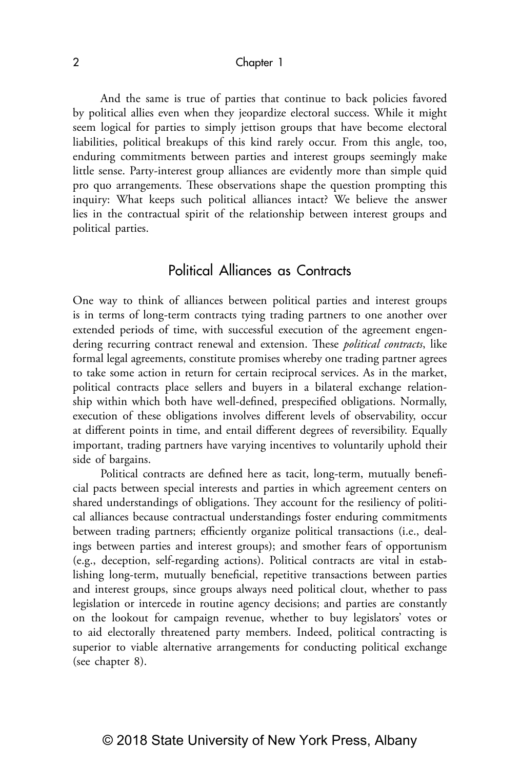And the same is true of parties that continue to back policies favored by political allies even when they jeopardize electoral success. While it might seem logical for parties to simply jettison groups that have become electoral liabilities, political breakups of this kind rarely occur. From this angle, too, enduring commitments between parties and interest groups seemingly make little sense. Party-interest group alliances are evidently more than simple quid pro quo arrangements. These observations shape the question prompting this inquiry: What keeps such political alliances intact? We believe the answer lies in the contractual spirit of the relationship between interest groups and political parties.

## Political Alliances as Contracts

One way to think of alliances between political parties and interest groups is in terms of long-term contracts tying trading partners to one another over extended periods of time, with successful execution of the agreement engendering recurring contract renewal and extension. These *political contracts*, like formal legal agreements, constitute promises whereby one trading partner agrees to take some action in return for certain reciprocal services. As in the market, political contracts place sellers and buyers in a bilateral exchange relationship within which both have well-defined, prespecified obligations. Normally, execution of these obligations involves different levels of observability, occur at different points in time, and entail different degrees of reversibility. Equally important, trading partners have varying incentives to voluntarily uphold their side of bargains.

Political contracts are defined here as tacit, long-term, mutually beneficial pacts between special interests and parties in which agreement centers on shared understandings of obligations. They account for the resiliency of political alliances because contractual understandings foster enduring commitments between trading partners; efficiently organize political transactions (i.e., dealings between parties and interest groups); and smother fears of opportunism (e.g., deception, self-regarding actions). Political contracts are vital in establishing long-term, mutually beneficial, repetitive transactions between parties and interest groups, since groups always need political clout, whether to pass legislation or intercede in routine agency decisions; and parties are constantly on the lookout for campaign revenue, whether to buy legislators' votes or to aid electorally threatened party members. Indeed, political contracting is superior to viable alternative arrangements for conducting political exchange (see chapter 8).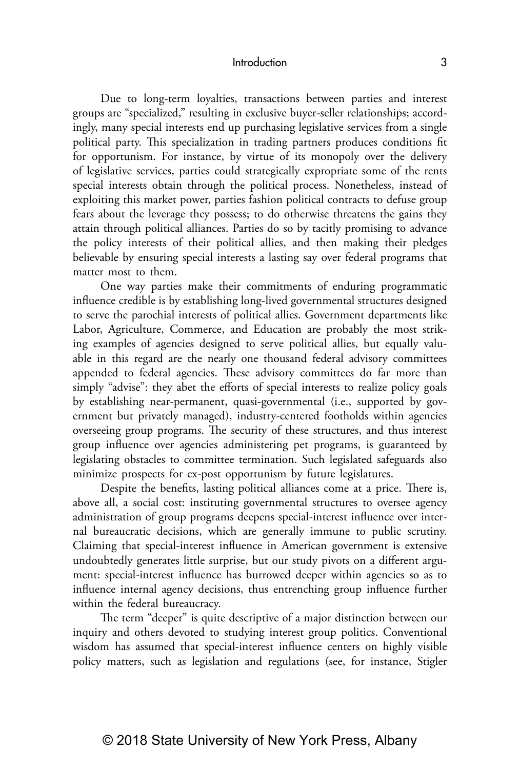Due to long-term loyalties, transactions between parties and interest groups are "specialized," resulting in exclusive buyer-seller relationships; accordingly, many special interests end up purchasing legislative services from a single political party. This specialization in trading partners produces conditions fit for opportunism. For instance, by virtue of its monopoly over the delivery of legislative services, parties could strategically expropriate some of the rents special interests obtain through the political process. Nonetheless, instead of exploiting this market power, parties fashion political contracts to defuse group fears about the leverage they possess; to do otherwise threatens the gains they attain through political alliances. Parties do so by tacitly promising to advance the policy interests of their political allies, and then making their pledges believable by ensuring special interests a lasting say over federal programs that matter most to them.

One way parties make their commitments of enduring programmatic influence credible is by establishing long-lived governmental structures designed to serve the parochial interests of political allies. Government departments like Labor, Agriculture, Commerce, and Education are probably the most striking examples of agencies designed to serve political allies, but equally valuable in this regard are the nearly one thousand federal advisory committees appended to federal agencies. These advisory committees do far more than simply "advise": they abet the efforts of special interests to realize policy goals by establishing near-permanent, quasi-governmental (i.e., supported by government but privately managed), industry-centered footholds within agencies overseeing group programs. The security of these structures, and thus interest group influence over agencies administering pet programs, is guaranteed by legislating obstacles to committee termination. Such legislated safeguards also minimize prospects for ex-post opportunism by future legislatures.

Despite the benefits, lasting political alliances come at a price. There is, above all, a social cost: instituting governmental structures to oversee agency administration of group programs deepens special-interest influence over internal bureaucratic decisions, which are generally immune to public scrutiny. Claiming that special-interest influence in American government is extensive undoubtedly generates little surprise, but our study pivots on a different argument: special-interest influence has burrowed deeper within agencies so as to influence internal agency decisions, thus entrenching group influence further within the federal bureaucracy.

The term "deeper" is quite descriptive of a major distinction between our inquiry and others devoted to studying interest group politics. Conventional wisdom has assumed that special-interest influence centers on highly visible policy matters, such as legislation and regulations (see, for instance, Stigler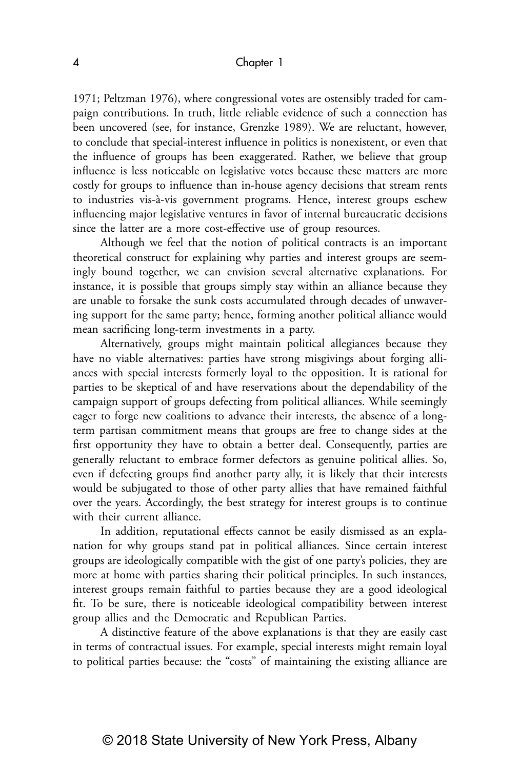1971; Peltzman 1976), where congressional votes are ostensibly traded for campaign contributions. In truth, little reliable evidence of such a connection has been uncovered (see, for instance, Grenzke 1989). We are reluctant, however, to conclude that special-interest influence in politics is nonexistent, or even that the influence of groups has been exaggerated. Rather, we believe that group influence is less noticeable on legislative votes because these matters are more costly for groups to influence than in-house agency decisions that stream rents to industries vis-à-vis government programs. Hence, interest groups eschew influencing major legislative ventures in favor of internal bureaucratic decisions since the latter are a more cost-effective use of group resources.

Although we feel that the notion of political contracts is an important theoretical construct for explaining why parties and interest groups are seemingly bound together, we can envision several alternative explanations. For instance, it is possible that groups simply stay within an alliance because they are unable to forsake the sunk costs accumulated through decades of unwavering support for the same party; hence, forming another political alliance would mean sacrificing long-term investments in a party.

Alternatively, groups might maintain political allegiances because they have no viable alternatives: parties have strong misgivings about forging alliances with special interests formerly loyal to the opposition. It is rational for parties to be skeptical of and have reservations about the dependability of the campaign support of groups defecting from political alliances. While seemingly eager to forge new coalitions to advance their interests, the absence of a longterm partisan commitment means that groups are free to change sides at the first opportunity they have to obtain a better deal. Consequently, parties are generally reluctant to embrace former defectors as genuine political allies. So, even if defecting groups find another party ally, it is likely that their interests would be subjugated to those of other party allies that have remained faithful over the years. Accordingly, the best strategy for interest groups is to continue with their current alliance.

In addition, reputational effects cannot be easily dismissed as an explanation for why groups stand pat in political alliances. Since certain interest groups are ideologically compatible with the gist of one party's policies, they are more at home with parties sharing their political principles. In such instances, interest groups remain faithful to parties because they are a good ideological fit. To be sure, there is noticeable ideological compatibility between interest group allies and the Democratic and Republican Parties.

A distinctive feature of the above explanations is that they are easily cast in terms of contractual issues. For example, special interests might remain loyal to political parties because: the "costs" of maintaining the existing alliance are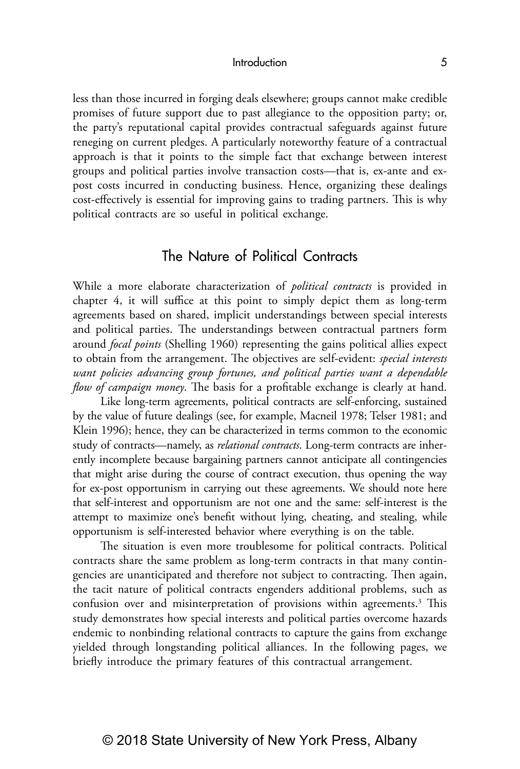less than those incurred in forging deals elsewhere; groups cannot make credible promises of future support due to past allegiance to the opposition party; or, the party's reputational capital provides contractual safeguards against future reneging on current pledges. A particularly noteworthy feature of a contractual approach is that it points to the simple fact that exchange between interest groups and political parties involve transaction costs—that is, ex-ante and expost costs incurred in conducting business. Hence, organizing these dealings cost-effectively is essential for improving gains to trading partners. This is why political contracts are so useful in political exchange.

## The Nature of Political Contracts

While a more elaborate characterization of *political contracts* is provided in chapter 4, it will suffice at this point to simply depict them as long-term agreements based on shared, implicit understandings between special interests and political parties. The understandings between contractual partners form around *focal points* (Shelling 1960) representing the gains political allies expect to obtain from the arrangement. The objectives are self-evident: *special interests want policies advancing group fortunes, and political parties want a dependable flow of campaign money*. The basis for a profitable exchange is clearly at hand.

Like long-term agreements, political contracts are self-enforcing, sustained by the value of future dealings (see, for example, Macneil 1978; Telser 1981; and Klein 1996); hence, they can be characterized in terms common to the economic study of contracts—namely, as *relational contracts*. Long-term contracts are inherently incomplete because bargaining partners cannot anticipate all contingencies that might arise during the course of contract execution, thus opening the way for ex-post opportunism in carrying out these agreements. We should note here that self-interest and opportunism are not one and the same: self-interest is the attempt to maximize one's benefit without lying, cheating, and stealing, while opportunism is self-interested behavior where everything is on the table.

The situation is even more troublesome for political contracts. Political contracts share the same problem as long-term contracts in that many contingencies are unanticipated and therefore not subject to contracting. Then again, the tacit nature of political contracts engenders additional problems, such as confusion over and misinterpretation of provisions within agreements.<sup>3</sup> This study demonstrates how special interests and political parties overcome hazards endemic to nonbinding relational contracts to capture the gains from exchange yielded through longstanding political alliances. In the following pages, we briefly introduce the primary features of this contractual arrangement.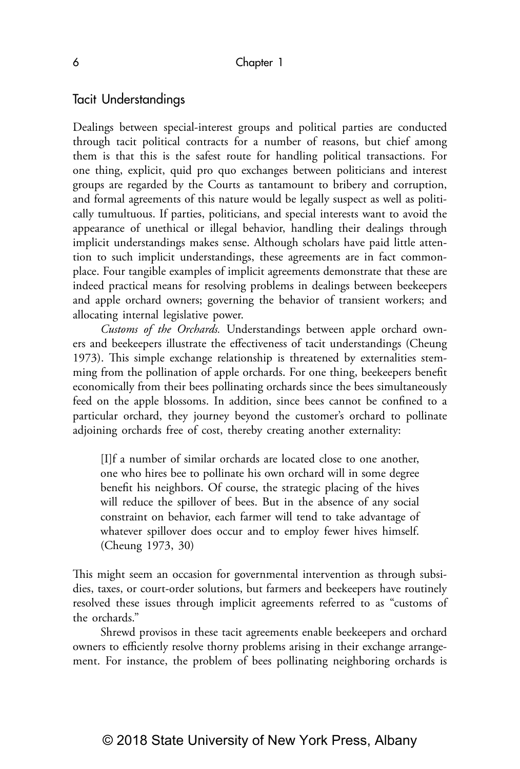## Tacit Understandings

Dealings between special-interest groups and political parties are conducted through tacit political contracts for a number of reasons, but chief among them is that this is the safest route for handling political transactions. For one thing, explicit, quid pro quo exchanges between politicians and interest groups are regarded by the Courts as tantamount to bribery and corruption, and formal agreements of this nature would be legally suspect as well as politically tumultuous. If parties, politicians, and special interests want to avoid the appearance of unethical or illegal behavior, handling their dealings through implicit understandings makes sense. Although scholars have paid little attention to such implicit understandings, these agreements are in fact commonplace. Four tangible examples of implicit agreements demonstrate that these are indeed practical means for resolving problems in dealings between beekeepers and apple orchard owners; governing the behavior of transient workers; and allocating internal legislative power.

*Customs of the Orchards.* Understandings between apple orchard owners and beekeepers illustrate the effectiveness of tacit understandings (Cheung 1973). This simple exchange relationship is threatened by externalities stemming from the pollination of apple orchards. For one thing, beekeepers benefit economically from their bees pollinating orchards since the bees simultaneously feed on the apple blossoms. In addition, since bees cannot be confined to a particular orchard, they journey beyond the customer's orchard to pollinate adjoining orchards free of cost, thereby creating another externality:

[I]f a number of similar orchards are located close to one another, one who hires bee to pollinate his own orchard will in some degree benefit his neighbors. Of course, the strategic placing of the hives will reduce the spillover of bees. But in the absence of any social constraint on behavior, each farmer will tend to take advantage of whatever spillover does occur and to employ fewer hives himself. (Cheung 1973, 30)

This might seem an occasion for governmental intervention as through subsidies, taxes, or court-order solutions, but farmers and beekeepers have routinely resolved these issues through implicit agreements referred to as "customs of the orchards."

Shrewd provisos in these tacit agreements enable beekeepers and orchard owners to efficiently resolve thorny problems arising in their exchange arrangement. For instance, the problem of bees pollinating neighboring orchards is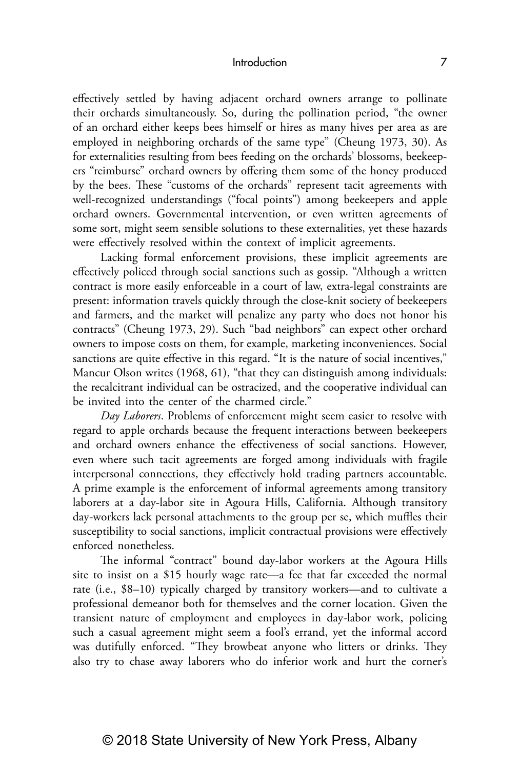effectively settled by having adjacent orchard owners arrange to pollinate their orchards simultaneously. So, during the pollination period, "the owner of an orchard either keeps bees himself or hires as many hives per area as are employed in neighboring orchards of the same type" (Cheung 1973, 30). As for externalities resulting from bees feeding on the orchards' blossoms, beekeepers "reimburse" orchard owners by offering them some of the honey produced by the bees. These "customs of the orchards" represent tacit agreements with well-recognized understandings ("focal points") among beekeepers and apple orchard owners. Governmental intervention, or even written agreements of some sort, might seem sensible solutions to these externalities, yet these hazards were effectively resolved within the context of implicit agreements.

Lacking formal enforcement provisions, these implicit agreements are effectively policed through social sanctions such as gossip. "Although a written contract is more easily enforceable in a court of law, extra-legal constraints are present: information travels quickly through the close-knit society of beekeepers and farmers, and the market will penalize any party who does not honor his contracts" (Cheung 1973, 29). Such "bad neighbors" can expect other orchard owners to impose costs on them, for example, marketing inconveniences. Social sanctions are quite effective in this regard. "It is the nature of social incentives," Mancur Olson writes (1968, 61), "that they can distinguish among individuals: the recalcitrant individual can be ostracized, and the cooperative individual can be invited into the center of the charmed circle."

*Day Laborers*. Problems of enforcement might seem easier to resolve with regard to apple orchards because the frequent interactions between beekeepers and orchard owners enhance the effectiveness of social sanctions. However, even where such tacit agreements are forged among individuals with fragile interpersonal connections, they effectively hold trading partners accountable. A prime example is the enforcement of informal agreements among transitory laborers at a day-labor site in Agoura Hills, California. Although transitory day-workers lack personal attachments to the group per se, which muffles their susceptibility to social sanctions, implicit contractual provisions were effectively enforced nonetheless.

The informal "contract" bound day-labor workers at the Agoura Hills site to insist on a \$15 hourly wage rate—a fee that far exceeded the normal rate (i.e., \$8–10) typically charged by transitory workers—and to cultivate a professional demeanor both for themselves and the corner location. Given the transient nature of employment and employees in day-labor work, policing such a casual agreement might seem a fool's errand, yet the informal accord was dutifully enforced. "They browbeat anyone who litters or drinks. They also try to chase away laborers who do inferior work and hurt the corner's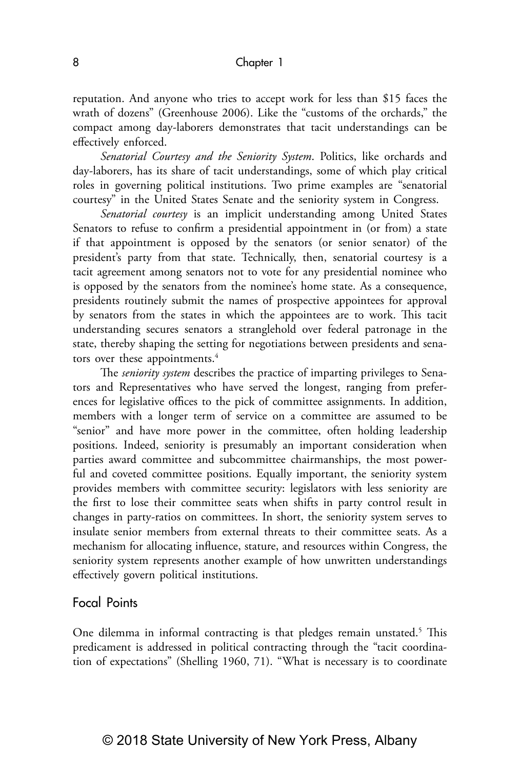reputation. And anyone who tries to accept work for less than \$15 faces the wrath of dozens" (Greenhouse 2006). Like the "customs of the orchards," the compact among day-laborers demonstrates that tacit understandings can be effectively enforced.

*Senatorial Courtesy and the Seniority System*. Politics, like orchards and day-laborers, has its share of tacit understandings, some of which play critical roles in governing political institutions. Two prime examples are "senatorial courtesy" in the United States Senate and the seniority system in Congress.

*Senatorial courtesy* is an implicit understanding among United States Senators to refuse to confirm a presidential appointment in (or from) a state if that appointment is opposed by the senators (or senior senator) of the president's party from that state. Technically, then, senatorial courtesy is a tacit agreement among senators not to vote for any presidential nominee who is opposed by the senators from the nominee's home state. As a consequence, presidents routinely submit the names of prospective appointees for approval by senators from the states in which the appointees are to work. This tacit understanding secures senators a stranglehold over federal patronage in the state, thereby shaping the setting for negotiations between presidents and senators over these appointments.<sup>4</sup>

The *seniority system* describes the practice of imparting privileges to Senators and Representatives who have served the longest, ranging from preferences for legislative offices to the pick of committee assignments. In addition, members with a longer term of service on a committee are assumed to be "senior" and have more power in the committee, often holding leadership positions. Indeed, seniority is presumably an important consideration when parties award committee and subcommittee chairmanships, the most powerful and coveted committee positions. Equally important, the seniority system provides members with committee security: legislators with less seniority are the first to lose their committee seats when shifts in party control result in changes in party-ratios on committees. In short, the seniority system serves to insulate senior members from external threats to their committee seats. As a mechanism for allocating influence, stature, and resources within Congress, the seniority system represents another example of how unwritten understandings effectively govern political institutions.

## Focal Points

One dilemma in informal contracting is that pledges remain unstated.<sup>5</sup> This predicament is addressed in political contracting through the "tacit coordination of expectations" (Shelling 1960, 71). "What is necessary is to coordinate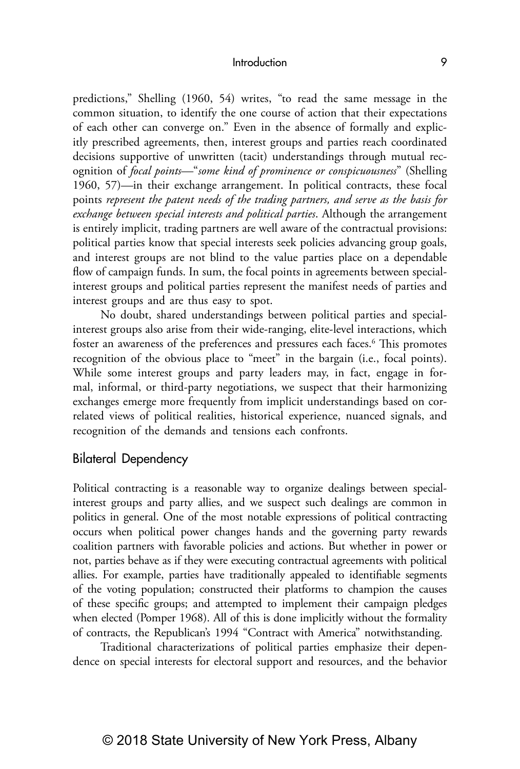predictions," Shelling (1960, 54) writes, "to read the same message in the common situation, to identify the one course of action that their expectations of each other can converge on." Even in the absence of formally and explicitly prescribed agreements, then, interest groups and parties reach coordinated decisions supportive of unwritten (tacit) understandings through mutual recognition of *focal points—*"*some kind of prominence or conspicuousness*" (Shelling 1960, 57)*—*in their exchange arrangement. In political contracts, these focal points *represent the patent needs of the trading partners, and serve as the basis for exchange between special interests and political parties*. Although the arrangement is entirely implicit, trading partners are well aware of the contractual provisions: political parties know that special interests seek policies advancing group goals, and interest groups are not blind to the value parties place on a dependable flow of campaign funds. In sum, the focal points in agreements between specialinterest groups and political parties represent the manifest needs of parties and interest groups and are thus easy to spot.

No doubt, shared understandings between political parties and specialinterest groups also arise from their wide-ranging, elite-level interactions, which foster an awareness of the preferences and pressures each faces.<sup>6</sup> This promotes recognition of the obvious place to "meet" in the bargain (i.e., focal points). While some interest groups and party leaders may, in fact, engage in formal, informal, or third-party negotiations, we suspect that their harmonizing exchanges emerge more frequently from implicit understandings based on correlated views of political realities, historical experience, nuanced signals, and recognition of the demands and tensions each confronts.

## Bilateral Dependency

Political contracting is a reasonable way to organize dealings between specialinterest groups and party allies, and we suspect such dealings are common in politics in general. One of the most notable expressions of political contracting occurs when political power changes hands and the governing party rewards coalition partners with favorable policies and actions. But whether in power or not, parties behave as if they were executing contractual agreements with political allies. For example, parties have traditionally appealed to identifiable segments of the voting population; constructed their platforms to champion the causes of these specific groups; and attempted to implement their campaign pledges when elected (Pomper 1968). All of this is done implicitly without the formality of contracts, the Republican's 1994 "Contract with America" notwithstanding.

Traditional characterizations of political parties emphasize their dependence on special interests for electoral support and resources, and the behavior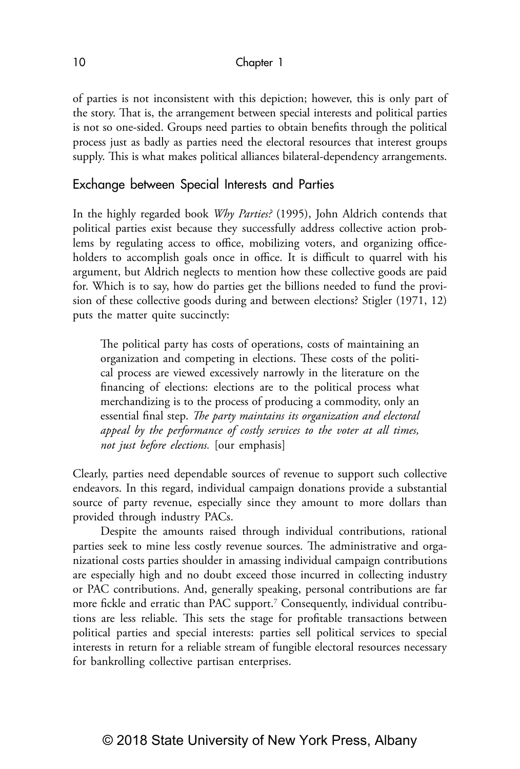of parties is not inconsistent with this depiction; however, this is only part of the story. That is, the arrangement between special interests and political parties is not so one-sided. Groups need parties to obtain benefits through the political process just as badly as parties need the electoral resources that interest groups supply. This is what makes political alliances bilateral-dependency arrangements.

## Exchange between Special Interests and Parties

In the highly regarded book *Why Parties?* (1995), John Aldrich contends that political parties exist because they successfully address collective action problems by regulating access to office, mobilizing voters, and organizing officeholders to accomplish goals once in office. It is difficult to quarrel with his argument, but Aldrich neglects to mention how these collective goods are paid for. Which is to say, how do parties get the billions needed to fund the provision of these collective goods during and between elections? Stigler (1971, 12) puts the matter quite succinctly:

The political party has costs of operations, costs of maintaining an organization and competing in elections. These costs of the political process are viewed excessively narrowly in the literature on the financing of elections: elections are to the political process what merchandizing is to the process of producing a commodity, only an essential final step. *The party maintains its organization and electoral appeal by the performance of costly services to the voter at all times, not just before elections.* [our emphasis]

Clearly, parties need dependable sources of revenue to support such collective endeavors. In this regard, individual campaign donations provide a substantial source of party revenue, especially since they amount to more dollars than provided through industry PACs.

Despite the amounts raised through individual contributions, rational parties seek to mine less costly revenue sources. The administrative and organizational costs parties shoulder in amassing individual campaign contributions are especially high and no doubt exceed those incurred in collecting industry or PAC contributions. And, generally speaking, personal contributions are far more fickle and erratic than PAC support.7 Consequently, individual contributions are less reliable. This sets the stage for profitable transactions between political parties and special interests: parties sell political services to special interests in return for a reliable stream of fungible electoral resources necessary for bankrolling collective partisan enterprises.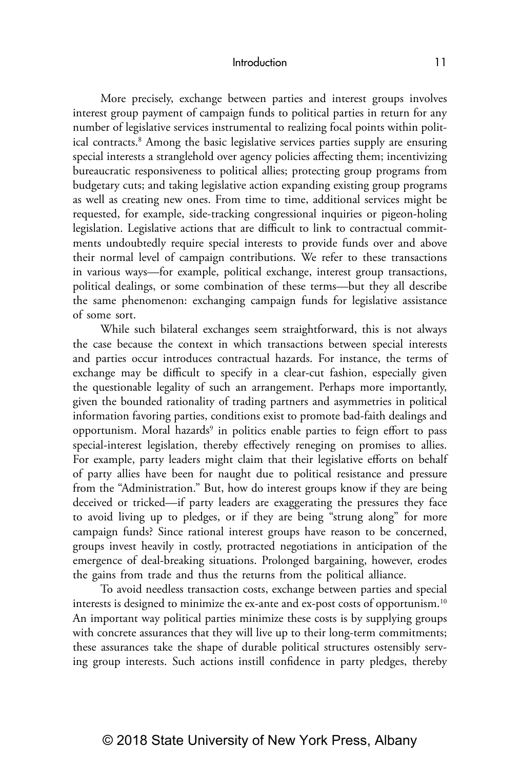More precisely, exchange between parties and interest groups involves interest group payment of campaign funds to political parties in return for any number of legislative services instrumental to realizing focal points within political contracts.8 Among the basic legislative services parties supply are ensuring special interests a stranglehold over agency policies affecting them; incentivizing bureaucratic responsiveness to political allies; protecting group programs from budgetary cuts; and taking legislative action expanding existing group programs as well as creating new ones. From time to time, additional services might be requested, for example, side-tracking congressional inquiries or pigeon-holing legislation. Legislative actions that are difficult to link to contractual commitments undoubtedly require special interests to provide funds over and above their normal level of campaign contributions. We refer to these transactions in various ways—for example, political exchange, interest group transactions, political dealings, or some combination of these terms—but they all describe the same phenomenon: exchanging campaign funds for legislative assistance of some sort.

While such bilateral exchanges seem straightforward, this is not always the case because the context in which transactions between special interests and parties occur introduces contractual hazards. For instance, the terms of exchange may be difficult to specify in a clear-cut fashion, especially given the questionable legality of such an arrangement. Perhaps more importantly, given the bounded rationality of trading partners and asymmetries in political information favoring parties, conditions exist to promote bad-faith dealings and opportunism. Moral hazards<sup>9</sup> in politics enable parties to feign effort to pass special-interest legislation, thereby effectively reneging on promises to allies. For example, party leaders might claim that their legislative efforts on behalf of party allies have been for naught due to political resistance and pressure from the "Administration." But, how do interest groups know if they are being deceived or tricked—if party leaders are exaggerating the pressures they face to avoid living up to pledges, or if they are being "strung along" for more campaign funds? Since rational interest groups have reason to be concerned, groups invest heavily in costly, protracted negotiations in anticipation of the emergence of deal-breaking situations. Prolonged bargaining, however, erodes the gains from trade and thus the returns from the political alliance.

To avoid needless transaction costs, exchange between parties and special interests is designed to minimize the ex-ante and ex-post costs of opportunism.<sup>10</sup> An important way political parties minimize these costs is by supplying groups with concrete assurances that they will live up to their long-term commitments; these assurances take the shape of durable political structures ostensibly serving group interests. Such actions instill confidence in party pledges, thereby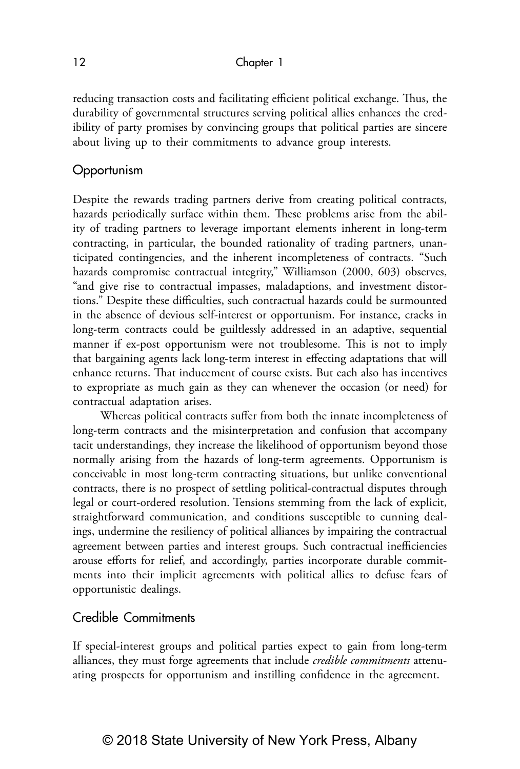reducing transaction costs and facilitating efficient political exchange. Thus, the durability of governmental structures serving political allies enhances the credibility of party promises by convincing groups that political parties are sincere about living up to their commitments to advance group interests.

## **Opportunism**

Despite the rewards trading partners derive from creating political contracts, hazards periodically surface within them. These problems arise from the ability of trading partners to leverage important elements inherent in long-term contracting, in particular, the bounded rationality of trading partners, unanticipated contingencies, and the inherent incompleteness of contracts. "Such hazards compromise contractual integrity," Williamson (2000, 603) observes, "and give rise to contractual impasses, maladaptions, and investment distortions." Despite these difficulties, such contractual hazards could be surmounted in the absence of devious self-interest or opportunism. For instance, cracks in long-term contracts could be guiltlessly addressed in an adaptive, sequential manner if ex-post opportunism were not troublesome. This is not to imply that bargaining agents lack long-term interest in effecting adaptations that will enhance returns. That inducement of course exists. But each also has incentives to expropriate as much gain as they can whenever the occasion (or need) for contractual adaptation arises.

Whereas political contracts suffer from both the innate incompleteness of long-term contracts and the misinterpretation and confusion that accompany tacit understandings, they increase the likelihood of opportunism beyond those normally arising from the hazards of long-term agreements. Opportunism is conceivable in most long-term contracting situations, but unlike conventional contracts, there is no prospect of settling political-contractual disputes through legal or court-ordered resolution. Tensions stemming from the lack of explicit, straightforward communication, and conditions susceptible to cunning dealings, undermine the resiliency of political alliances by impairing the contractual agreement between parties and interest groups. Such contractual inefficiencies arouse efforts for relief, and accordingly, parties incorporate durable commitments into their implicit agreements with political allies to defuse fears of opportunistic dealings.

## Credible Commitments

If special-interest groups and political parties expect to gain from long-term alliances, they must forge agreements that include *credible commitments* attenuating prospects for opportunism and instilling confidence in the agreement.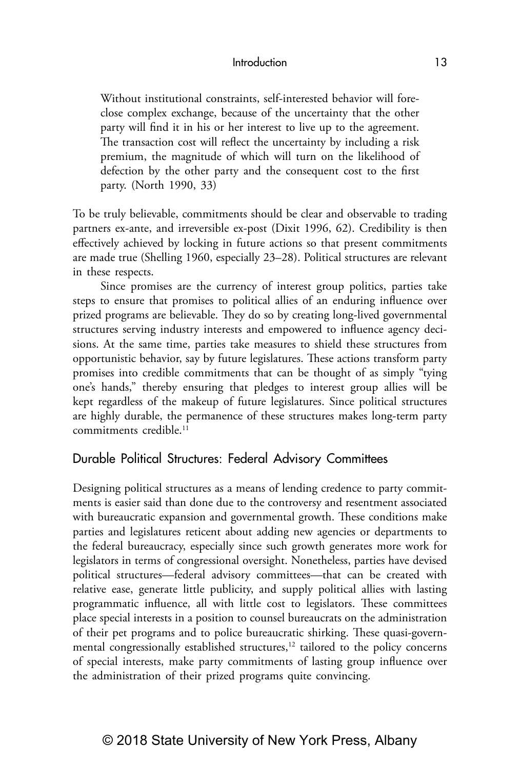Without institutional constraints, self-interested behavior will foreclose complex exchange, because of the uncertainty that the other party will find it in his or her interest to live up to the agreement. The transaction cost will reflect the uncertainty by including a risk premium, the magnitude of which will turn on the likelihood of defection by the other party and the consequent cost to the first party. (North 1990, 33)

To be truly believable, commitments should be clear and observable to trading partners ex-ante, and irreversible ex-post (Dixit 1996, 62). Credibility is then effectively achieved by locking in future actions so that present commitments are made true (Shelling 1960, especially 23–28). Political structures are relevant in these respects.

Since promises are the currency of interest group politics, parties take steps to ensure that promises to political allies of an enduring influence over prized programs are believable. They do so by creating long-lived governmental structures serving industry interests and empowered to influence agency decisions. At the same time, parties take measures to shield these structures from opportunistic behavior, say by future legislatures. These actions transform party promises into credible commitments that can be thought of as simply "tying one's hands," thereby ensuring that pledges to interest group allies will be kept regardless of the makeup of future legislatures. Since political structures are highly durable, the permanence of these structures makes long-term party commitments credible<sup>11</sup>

## Durable Political Structures: Federal Advisory Committees

Designing political structures as a means of lending credence to party commitments is easier said than done due to the controversy and resentment associated with bureaucratic expansion and governmental growth. These conditions make parties and legislatures reticent about adding new agencies or departments to the federal bureaucracy, especially since such growth generates more work for legislators in terms of congressional oversight. Nonetheless, parties have devised political structures—federal advisory committees—that can be created with relative ease, generate little publicity, and supply political allies with lasting programmatic influence, all with little cost to legislators. These committees place special interests in a position to counsel bureaucrats on the administration of their pet programs and to police bureaucratic shirking. These quasi-governmental congressionally established structures, $12$  tailored to the policy concerns of special interests, make party commitments of lasting group influence over the administration of their prized programs quite convincing.

## © 2018 State University of New York Press, Albany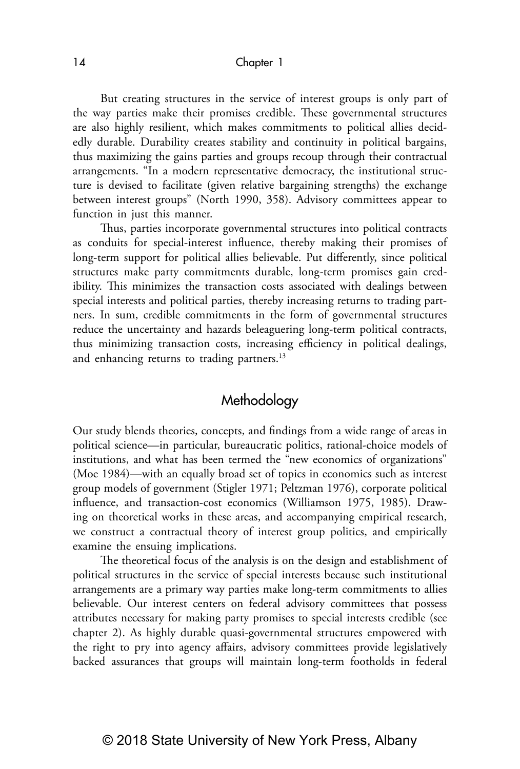But creating structures in the service of interest groups is only part of the way parties make their promises credible. These governmental structures are also highly resilient, which makes commitments to political allies decidedly durable. Durability creates stability and continuity in political bargains, thus maximizing the gains parties and groups recoup through their contractual arrangements. "In a modern representative democracy, the institutional structure is devised to facilitate (given relative bargaining strengths) the exchange between interest groups" (North 1990, 358). Advisory committees appear to function in just this manner.

Thus, parties incorporate governmental structures into political contracts as conduits for special-interest influence, thereby making their promises of long-term support for political allies believable. Put differently, since political structures make party commitments durable, long-term promises gain credibility. This minimizes the transaction costs associated with dealings between special interests and political parties, thereby increasing returns to trading partners. In sum, credible commitments in the form of governmental structures reduce the uncertainty and hazards beleaguering long-term political contracts, thus minimizing transaction costs, increasing efficiency in political dealings, and enhancing returns to trading partners.<sup>13</sup>

## Methodology

Our study blends theories, concepts, and findings from a wide range of areas in political science—in particular, bureaucratic politics, rational-choice models of institutions, and what has been termed the "new economics of organizations" (Moe 1984)—with an equally broad set of topics in economics such as interest group models of government (Stigler 1971; Peltzman 1976), corporate political influence, and transaction-cost economics (Williamson 1975, 1985). Drawing on theoretical works in these areas, and accompanying empirical research, we construct a contractual theory of interest group politics, and empirically examine the ensuing implications.

The theoretical focus of the analysis is on the design and establishment of political structures in the service of special interests because such institutional arrangements are a primary way parties make long-term commitments to allies believable. Our interest centers on federal advisory committees that possess attributes necessary for making party promises to special interests credible (see chapter 2). As highly durable quasi-governmental structures empowered with the right to pry into agency affairs, advisory committees provide legislatively backed assurances that groups will maintain long-term footholds in federal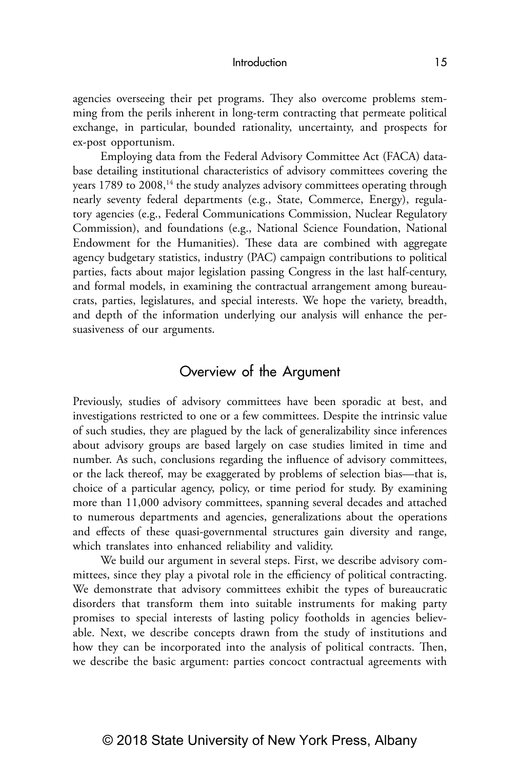agencies overseeing their pet programs. They also overcome problems stemming from the perils inherent in long-term contracting that permeate political exchange, in particular, bounded rationality, uncertainty, and prospects for ex-post opportunism.

Employing data from the Federal Advisory Committee Act (FACA) database detailing institutional characteristics of advisory committees covering the years 1789 to 2008,<sup>14</sup> the study analyzes advisory committees operating through nearly seventy federal departments (e.g., State, Commerce, Energy), regulatory agencies (e.g., Federal Communications Commission, Nuclear Regulatory Commission), and foundations (e.g., National Science Foundation, National Endowment for the Humanities). These data are combined with aggregate agency budgetary statistics, industry (PAC) campaign contributions to political parties, facts about major legislation passing Congress in the last half-century, and formal models, in examining the contractual arrangement among bureaucrats, parties, legislatures, and special interests. We hope the variety, breadth, and depth of the information underlying our analysis will enhance the persuasiveness of our arguments.

## Overview of the Argument

Previously, studies of advisory committees have been sporadic at best, and investigations restricted to one or a few committees. Despite the intrinsic value of such studies, they are plagued by the lack of generalizability since inferences about advisory groups are based largely on case studies limited in time and number. As such, conclusions regarding the influence of advisory committees, or the lack thereof, may be exaggerated by problems of selection bias—that is, choice of a particular agency, policy, or time period for study. By examining more than 11,000 advisory committees, spanning several decades and attached to numerous departments and agencies, generalizations about the operations and effects of these quasi-governmental structures gain diversity and range, which translates into enhanced reliability and validity.

We build our argument in several steps. First, we describe advisory committees, since they play a pivotal role in the efficiency of political contracting. We demonstrate that advisory committees exhibit the types of bureaucratic disorders that transform them into suitable instruments for making party promises to special interests of lasting policy footholds in agencies believable. Next, we describe concepts drawn from the study of institutions and how they can be incorporated into the analysis of political contracts. Then, we describe the basic argument: parties concoct contractual agreements with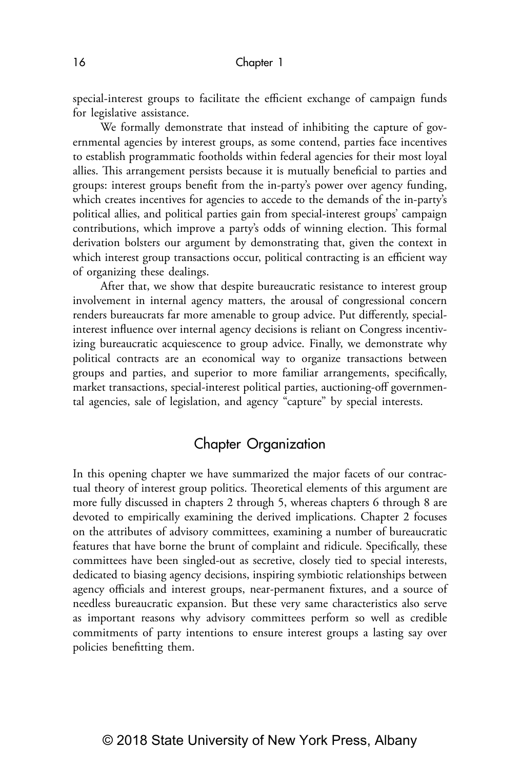special-interest groups to facilitate the efficient exchange of campaign funds for legislative assistance.

We formally demonstrate that instead of inhibiting the capture of governmental agencies by interest groups, as some contend, parties face incentives to establish programmatic footholds within federal agencies for their most loyal allies. This arrangement persists because it is mutually beneficial to parties and groups: interest groups benefit from the in-party's power over agency funding, which creates incentives for agencies to accede to the demands of the in-party's political allies, and political parties gain from special-interest groups' campaign contributions, which improve a party's odds of winning election. This formal derivation bolsters our argument by demonstrating that, given the context in which interest group transactions occur, political contracting is an efficient way of organizing these dealings.

After that, we show that despite bureaucratic resistance to interest group involvement in internal agency matters, the arousal of congressional concern renders bureaucrats far more amenable to group advice. Put differently, specialinterest influence over internal agency decisions is reliant on Congress incentivizing bureaucratic acquiescence to group advice. Finally, we demonstrate why political contracts are an economical way to organize transactions between groups and parties, and superior to more familiar arrangements, specifically, market transactions, special-interest political parties, auctioning-off governmental agencies, sale of legislation, and agency "capture" by special interests.

## Chapter Organization

In this opening chapter we have summarized the major facets of our contractual theory of interest group politics. Theoretical elements of this argument are more fully discussed in chapters 2 through 5, whereas chapters 6 through 8 are devoted to empirically examining the derived implications. Chapter 2 focuses on the attributes of advisory committees, examining a number of bureaucratic features that have borne the brunt of complaint and ridicule. Specifically, these committees have been singled-out as secretive, closely tied to special interests, dedicated to biasing agency decisions, inspiring symbiotic relationships between agency officials and interest groups, near-permanent fixtures, and a source of needless bureaucratic expansion. But these very same characteristics also serve as important reasons why advisory committees perform so well as credible commitments of party intentions to ensure interest groups a lasting say over policies benefitting them.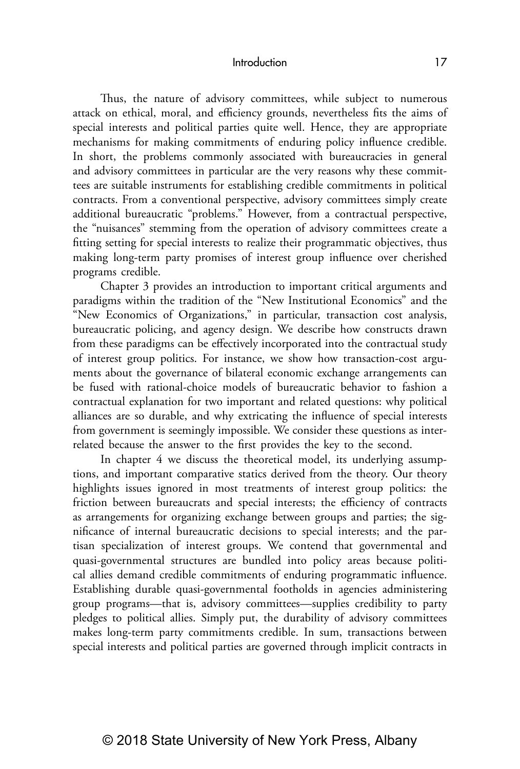Thus, the nature of advisory committees, while subject to numerous attack on ethical, moral, and efficiency grounds, nevertheless fits the aims of special interests and political parties quite well. Hence, they are appropriate mechanisms for making commitments of enduring policy influence credible. In short, the problems commonly associated with bureaucracies in general and advisory committees in particular are the very reasons why these committees are suitable instruments for establishing credible commitments in political contracts. From a conventional perspective, advisory committees simply create additional bureaucratic "problems." However, from a contractual perspective, the "nuisances" stemming from the operation of advisory committees create a fitting setting for special interests to realize their programmatic objectives, thus making long-term party promises of interest group influence over cherished programs credible.

Chapter 3 provides an introduction to important critical arguments and paradigms within the tradition of the "New Institutional Economics" and the "New Economics of Organizations," in particular, transaction cost analysis, bureaucratic policing, and agency design. We describe how constructs drawn from these paradigms can be effectively incorporated into the contractual study of interest group politics. For instance, we show how transaction-cost arguments about the governance of bilateral economic exchange arrangements can be fused with rational-choice models of bureaucratic behavior to fashion a contractual explanation for two important and related questions: why political alliances are so durable, and why extricating the influence of special interests from government is seemingly impossible. We consider these questions as interrelated because the answer to the first provides the key to the second.

In chapter 4 we discuss the theoretical model, its underlying assumptions, and important comparative statics derived from the theory. Our theory highlights issues ignored in most treatments of interest group politics: the friction between bureaucrats and special interests; the efficiency of contracts as arrangements for organizing exchange between groups and parties; the significance of internal bureaucratic decisions to special interests; and the partisan specialization of interest groups. We contend that governmental and quasi-governmental structures are bundled into policy areas because political allies demand credible commitments of enduring programmatic influence. Establishing durable quasi-governmental footholds in agencies administering group programs—that is, advisory committees—supplies credibility to party pledges to political allies. Simply put, the durability of advisory committees makes long-term party commitments credible. In sum, transactions between special interests and political parties are governed through implicit contracts in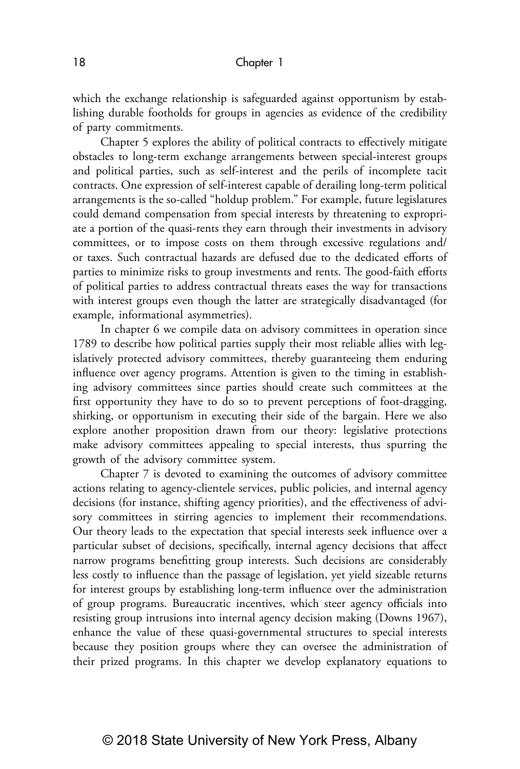which the exchange relationship is safeguarded against opportunism by establishing durable footholds for groups in agencies as evidence of the credibility of party commitments.

Chapter 5 explores the ability of political contracts to effectively mitigate obstacles to long-term exchange arrangements between special-interest groups and political parties, such as self-interest and the perils of incomplete tacit contracts. One expression of self-interest capable of derailing long-term political arrangements is the so-called "holdup problem." For example, future legislatures could demand compensation from special interests by threatening to expropriate a portion of the quasi-rents they earn through their investments in advisory committees, or to impose costs on them through excessive regulations and/ or taxes. Such contractual hazards are defused due to the dedicated efforts of parties to minimize risks to group investments and rents. The good-faith efforts of political parties to address contractual threats eases the way for transactions with interest groups even though the latter are strategically disadvantaged (for example, informational asymmetries).

In chapter 6 we compile data on advisory committees in operation since 1789 to describe how political parties supply their most reliable allies with legislatively protected advisory committees, thereby guaranteeing them enduring influence over agency programs. Attention is given to the timing in establishing advisory committees since parties should create such committees at the first opportunity they have to do so to prevent perceptions of foot-dragging, shirking, or opportunism in executing their side of the bargain. Here we also explore another proposition drawn from our theory: legislative protections make advisory committees appealing to special interests, thus spurring the growth of the advisory committee system.

Chapter 7 is devoted to examining the outcomes of advisory committee actions relating to agency-clientele services, public policies, and internal agency decisions (for instance, shifting agency priorities), and the effectiveness of advisory committees in stirring agencies to implement their recommendations. Our theory leads to the expectation that special interests seek influence over a particular subset of decisions, specifically, internal agency decisions that affect narrow programs benefitting group interests. Such decisions are considerably less costly to influence than the passage of legislation, yet yield sizeable returns for interest groups by establishing long-term influence over the administration of group programs. Bureaucratic incentives, which steer agency officials into resisting group intrusions into internal agency decision making (Downs 1967), enhance the value of these quasi-governmental structures to special interests because they position groups where they can oversee the administration of their prized programs. In this chapter we develop explanatory equations to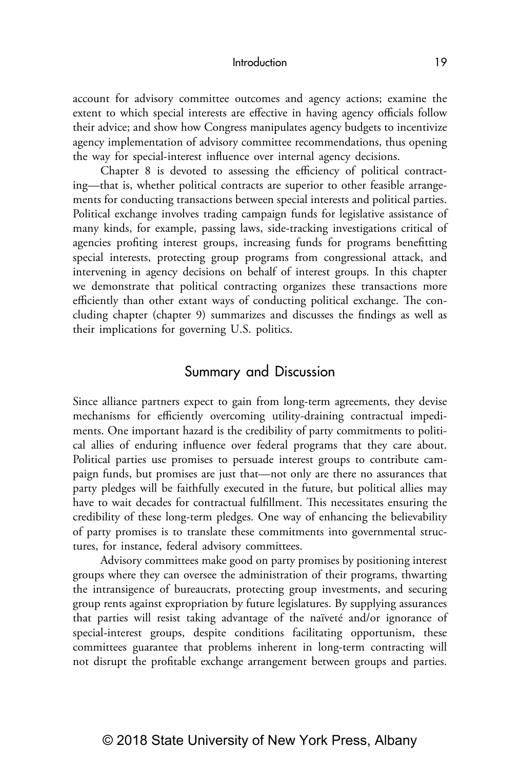account for advisory committee outcomes and agency actions; examine the extent to which special interests are effective in having agency officials follow their advice; and show how Congress manipulates agency budgets to incentivize agency implementation of advisory committee recommendations, thus opening the way for special-interest influence over internal agency decisions.

Chapter 8 is devoted to assessing the efficiency of political contracting—that is, whether political contracts are superior to other feasible arrangements for conducting transactions between special interests and political parties. Political exchange involves trading campaign funds for legislative assistance of many kinds, for example, passing laws, side-tracking investigations critical of agencies profiting interest groups, increasing funds for programs benefitting special interests, protecting group programs from congressional attack, and intervening in agency decisions on behalf of interest groups*.* In this chapter we demonstrate that political contracting organizes these transactions more efficiently than other extant ways of conducting political exchange. The concluding chapter (chapter 9) summarizes and discusses the findings as well as their implications for governing U.S. politics.

## Summary and Discussion

Since alliance partners expect to gain from long-term agreements, they devise mechanisms for efficiently overcoming utility-draining contractual impediments. One important hazard is the credibility of party commitments to political allies of enduring influence over federal programs that they care about. Political parties use promises to persuade interest groups to contribute campaign funds, but promises are just that—not only are there no assurances that party pledges will be faithfully executed in the future, but political allies may have to wait decades for contractual fulfillment. This necessitates ensuring the credibility of these long-term pledges. One way of enhancing the believability of party promises is to translate these commitments into governmental structures, for instance, federal advisory committees.

Advisory committees make good on party promises by positioning interest groups where they can oversee the administration of their programs, thwarting the intransigence of bureaucrats, protecting group investments, and securing group rents against expropriation by future legislatures. By supplying assurances that parties will resist taking advantage of the naïveté and/or ignorance of special-interest groups, despite conditions facilitating opportunism, these committees guarantee that problems inherent in long-term contracting will not disrupt the profitable exchange arrangement between groups and parties.